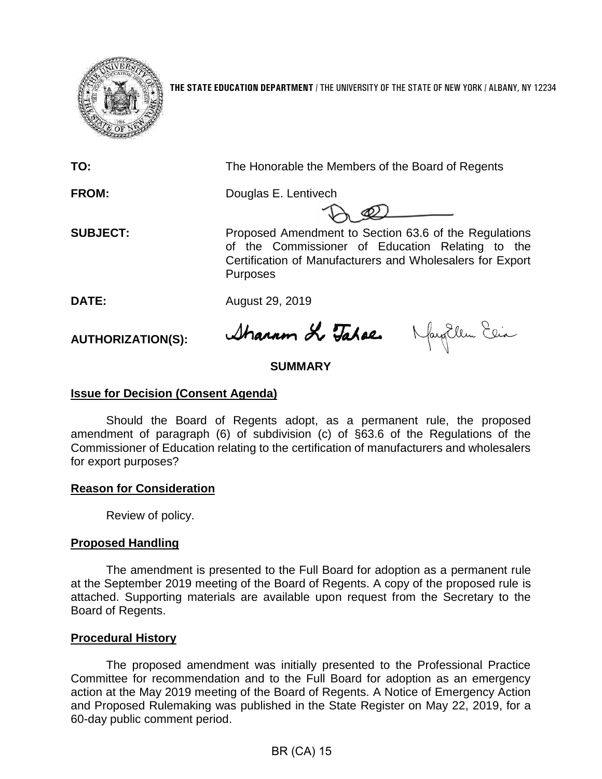

**THE STATE EDUCATION DEPARTMENT** / THE UNIVERSITY OF THE STATE OF NEW YORK / ALBANY, NY 12234

**TO:** The Honorable the Members of the Board of Regents

**FROM:** Douglas E. Lentivech

**SUBJECT:** Proposed Amendment to Section 63.6 of the Regulations of the Commissioner of Education Relating to the Certification of Manufacturers and Wholesalers for Export **Purposes** 

**DATE:** August 29, 2019

**AUTHORIZATION(S):**

Sharam & Tahae. May Ellen Ein

# **SUMMARY**

# **Issue for Decision (Consent Agenda)**

Should the Board of Regents adopt, as a permanent rule, the proposed amendment of paragraph (6) of subdivision (c) of §63.6 of the Regulations of the Commissioner of Education relating to the certification of manufacturers and wholesalers for export purposes?

# **Reason for Consideration**

Review of policy.

# **Proposed Handling**

The amendment is presented to the Full Board for adoption as a permanent rule at the September 2019 meeting of the Board of Regents. A copy of the proposed rule is attached. Supporting materials are available upon request from the Secretary to the Board of Regents.

# **Procedural History**

The proposed amendment was initially presented to the Professional Practice Committee for recommendation and to the Full Board for adoption as an emergency action at the May 2019 meeting of the Board of Regents. A Notice of Emergency Action and Proposed Rulemaking was published in the State Register on May 22, 2019, for a 60-day public comment period.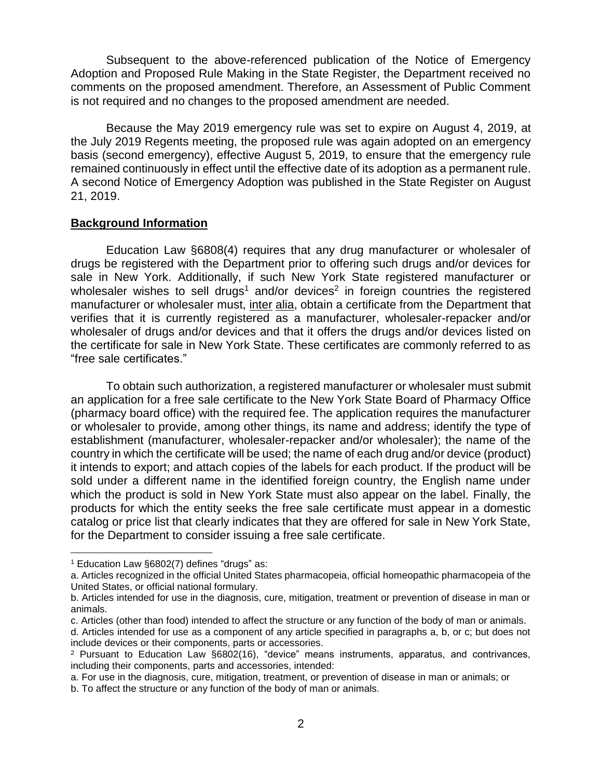Subsequent to the above-referenced publication of the Notice of Emergency Adoption and Proposed Rule Making in the State Register, the Department received no comments on the proposed amendment. Therefore, an Assessment of Public Comment is not required and no changes to the proposed amendment are needed.

Because the May 2019 emergency rule was set to expire on August 4, 2019, at the July 2019 Regents meeting, the proposed rule was again adopted on an emergency basis (second emergency), effective August 5, 2019, to ensure that the emergency rule remained continuously in effect until the effective date of its adoption as a permanent rule. A second Notice of Emergency Adoption was published in the State Register on August 21, 2019.

### **Background Information**

Education Law §6808(4) requires that any drug manufacturer or wholesaler of drugs be registered with the Department prior to offering such drugs and/or devices for sale in New York. Additionally, if such New York State registered manufacturer or wholesaler wishes to sell drugs<sup>1</sup> and/or devices<sup>2</sup> in foreign countries the registered manufacturer or wholesaler must, inter alia, obtain a certificate from the Department that verifies that it is currently registered as a manufacturer, wholesaler-repacker and/or wholesaler of drugs and/or devices and that it offers the drugs and/or devices listed on the certificate for sale in New York State. These certificates are commonly referred to as "free sale certificates."

To obtain such authorization, a registered manufacturer or wholesaler must submit an application for a free sale certificate to the New York State Board of Pharmacy Office (pharmacy board office) with the required fee. The application requires the manufacturer or wholesaler to provide, among other things, its name and address; identify the type of establishment (manufacturer, wholesaler-repacker and/or wholesaler); the name of the country in which the certificate will be used; the name of each drug and/or device (product) it intends to export; and attach copies of the labels for each product. If the product will be sold under a different name in the identified foreign country, the English name under which the product is sold in New York State must also appear on the label. Finally, the products for which the entity seeks the free sale certificate must appear in a domestic catalog or price list that clearly indicates that they are offered for sale in New York State, for the Department to consider issuing a free sale certificate.

 $\overline{a}$ 

<sup>1</sup> Education Law §6802(7) defines "drugs" as:

a. Articles recognized in the official United States pharmacopeia, official homeopathic pharmacopeia of the United States, or official national formulary.

b. Articles intended for use in the diagnosis, cure, mitigation, treatment or prevention of disease in man or animals.

c. Articles (other than food) intended to affect the structure or any function of the body of man or animals.

d. Articles intended for use as a component of any article specified in paragraphs a, b, or c; but does not include devices or their components, parts or accessories.

<sup>2</sup> Pursuant to Education Law §6802(16), "device" means instruments, apparatus, and contrivances, including their components, parts and accessories, intended:

a. For use in the diagnosis, cure, mitigation, treatment, or prevention of disease in man or animals; or

b. To affect the structure or any function of the body of man or animals.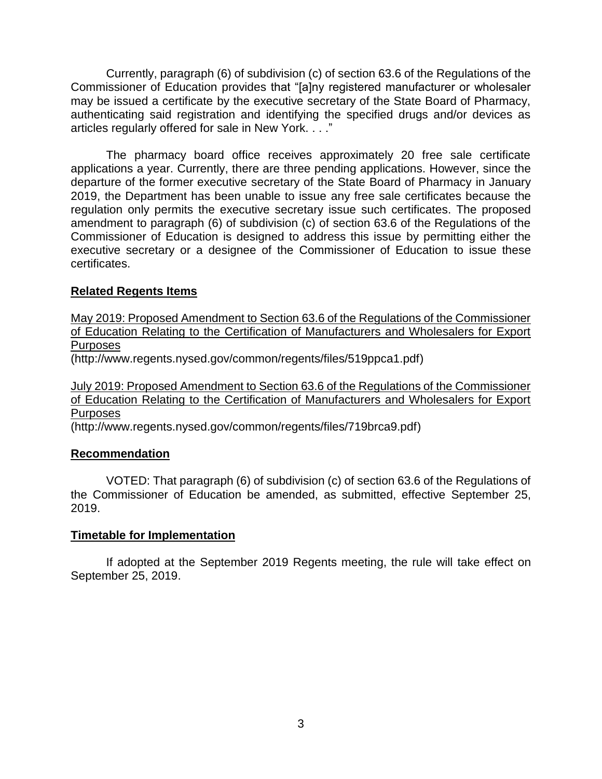Currently, paragraph (6) of subdivision (c) of section 63.6 of the Regulations of the Commissioner of Education provides that "[a]ny registered manufacturer or wholesaler may be issued a certificate by the executive secretary of the State Board of Pharmacy, authenticating said registration and identifying the specified drugs and/or devices as articles regularly offered for sale in New York. . . ."

The pharmacy board office receives approximately 20 free sale certificate applications a year. Currently, there are three pending applications. However, since the departure of the former executive secretary of the State Board of Pharmacy in January 2019, the Department has been unable to issue any free sale certificates because the regulation only permits the executive secretary issue such certificates. The proposed amendment to paragraph (6) of subdivision (c) of section 63.6 of the Regulations of the Commissioner of Education is designed to address this issue by permitting either the executive secretary or a designee of the Commissioner of Education to issue these certificates.

# **Related Regents Items**

[May 2019: Proposed Amendment to Section 63.6 of the Regulations of the Commissioner](http://www.regents.nysed.gov/common/regents/files/519ppca1.pdf)  of Education [Relating to the Certification of Manufacturers and Wholesalers for Export](http://www.regents.nysed.gov/common/regents/files/519ppca1.pdf)  [Purposes](http://www.regents.nysed.gov/common/regents/files/519ppca1.pdf)

(http://www.regents.nysed.gov/common/regents/files/519ppca1.pdf)

# [July 2019: Proposed Amendment to Section 63.6 of the Regulations of the Commissioner](http://www.regents.nysed.gov/common/regents/files/719brca9.pdf)  [of Education Relating to the Certification of Manufacturers and Wholesalers for Export](http://www.regents.nysed.gov/common/regents/files/719brca9.pdf)  [Purposes](http://www.regents.nysed.gov/common/regents/files/719brca9.pdf)

(http://www.regents.nysed.gov/common/regents/files/719brca9.pdf)

# **Recommendation**

VOTED: That paragraph (6) of subdivision (c) of section 63.6 of the Regulations of the Commissioner of Education be amended, as submitted, effective September 25, 2019.

# **Timetable for Implementation**

If adopted at the September 2019 Regents meeting, the rule will take effect on September 25, 2019.